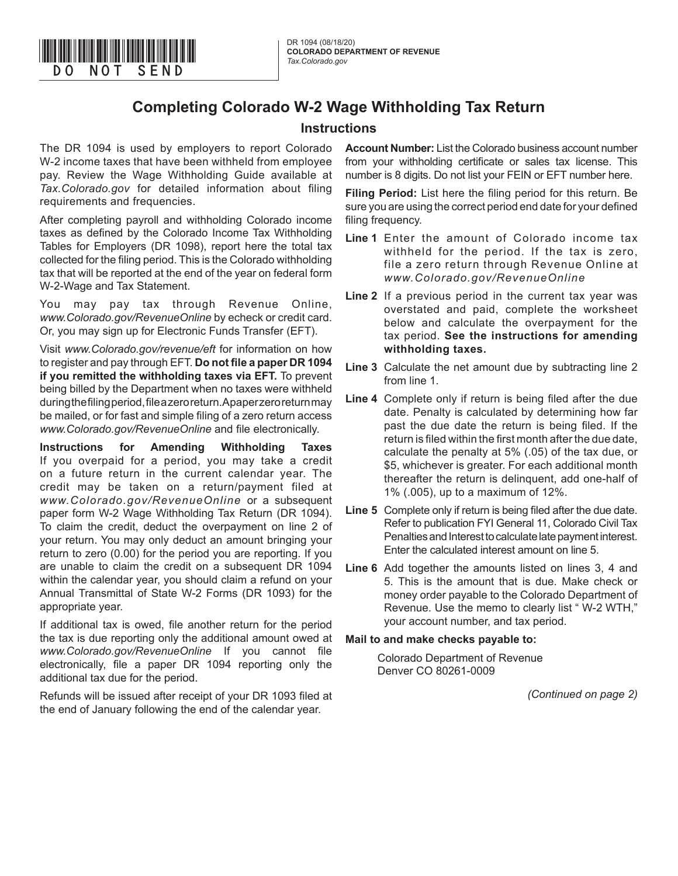

## **Instructions**

The DR 1094 is used by employers to report Colorado W-2 income taxes that have been withheld from employee pay. Review the Wage Withholding Guide available at *Tax.Colorado.gov* for detailed information about filing requirements and frequencies.

\*DO=NOT=SEND\*

After completing payroll and withholding Colorado income taxes as defined by the Colorado Income Tax Withholding Tables for Employers (DR 1098), report here the total tax collected for the filing period. This is the Colorado withholding tax that will be reported at the end of the year on federal form W-2-Wage and Tax Statement.

You may pay tax through Revenue Online, *www.Colorado.gov/RevenueOnline* by echeck or credit card. Or, you may sign up for Electronic Funds Transfer (EFT).

Visit *www.Colorado.gov/revenue/eft* for information on how to register and pay through EFT. **Do not file a paper DR 1094 if you remitted the withholding taxes via EFT.** To prevent being billed by the Department when no taxes were withheld during the filing period, file a zero return. A paper zero return may be mailed, or for fast and simple filing of a zero return access *www.Colorado.gov/RevenueOnline* and file electronically.

**Instructions for Amending Withholding Taxes** If you overpaid for a period, you may take a credit on a future return in the current calendar year. The credit may be taken on a return/payment filed at *www.Colorado.gov/RevenueOnline* or a subsequent paper form W-2 Wage Withholding Tax Return (DR 1094). To claim the credit, deduct the overpayment on line 2 of your return. You may only deduct an amount bringing your return to zero (0.00) for the period you are reporting. If you are unable to claim the credit on a subsequent DR 1094 within the calendar year, you should claim a refund on your Annual Transmittal of State W-2 Forms (DR 1093) for the appropriate year.

If additional tax is owed, file another return for the period the tax is due reporting only the additional amount owed at *www.Colorado.gov/RevenueOnline* If you cannot file electronically, file a paper DR 1094 reporting only the additional tax due for the period.

Refunds will be issued after receipt of your DR 1093 filed at the end of January following the end of the calendar year.

**Account Number:** List the Colorado business account number from your withholding certificate or sales tax license. This number is 8 digits. Do not list your FEIN or EFT number here.

**Filing Period:** List here the filing period for this return. Be sure you are using the correct period end date for your defined filing frequency.

- **Line 1** Enter the amount of Colorado income tax withheld for the period. If the tax is zero, file a zero return through Revenue Online at *www.Colorado.gov/RevenueOnline*
- **Line 2** If a previous period in the current tax year was overstated and paid, complete the worksheet below and calculate the overpayment for the tax period. **See the instructions for amending withholding taxes.**
- **Line 3** Calculate the net amount due by subtracting line 2 from line 1.
- **Line 4** Complete only if return is being filed after the due date. Penalty is calculated by determining how far past the due date the return is being filed. If the return is filed within the first month after the due date, calculate the penalty at 5% (.05) of the tax due, or \$5, whichever is greater. For each additional month thereafter the return is delinquent, add one-half of 1% (.005), up to a maximum of 12%.
- **Line 5** Complete only if return is being filed after the due date. Refer to publication FYI General 11, Colorado Civil Tax Penalties and Interest to calculate late payment interest. Enter the calculated interest amount on line 5.
- **Line 6** Add together the amounts listed on lines 3, 4 and 5. This is the amount that is due. Make check or money order payable to the Colorado Department of Revenue. Use the memo to clearly list " W-2 WTH," your account number, and tax period.

## **Mail to and make checks payable to:**

Colorado Department of Revenue Denver CO 80261-0009

*(Continued on page 2)*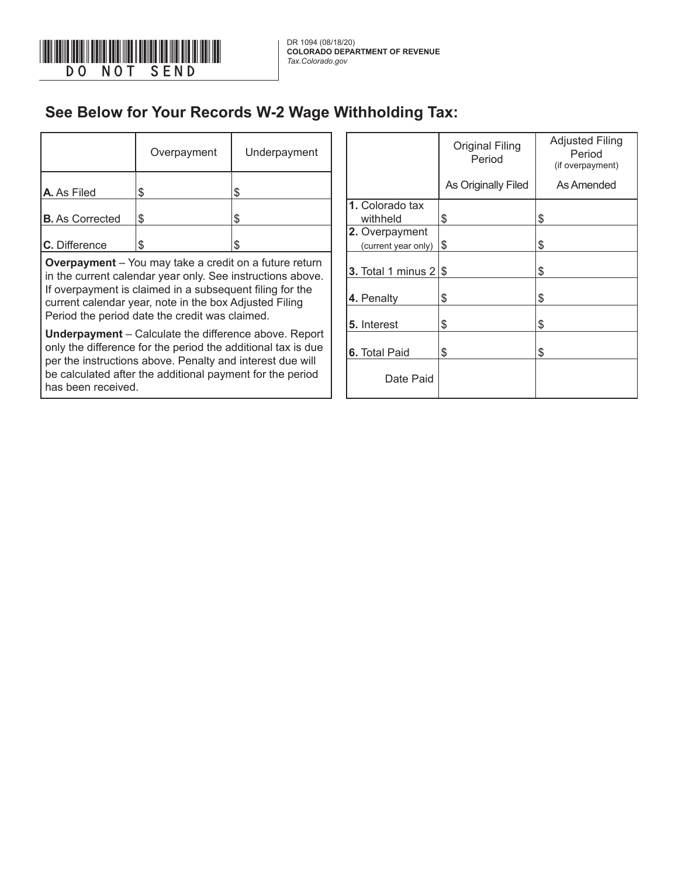

has been received.

## **See Below for Your Records W-2 Wage Withholding Tax:**

|                                                                                                                              | Overpayment | Underpayment |  |                              | <b>Original Filing</b><br>Period | <b>Adjusted Filin</b><br>Period<br>(if overpayment |
|------------------------------------------------------------------------------------------------------------------------------|-------------|--------------|--|------------------------------|----------------------------------|----------------------------------------------------|
| <b>A.</b> As Filed                                                                                                           | S           |              |  |                              | As Originally Filed              | As Amended                                         |
|                                                                                                                              |             |              |  | 1. Colorado tax              |                                  |                                                    |
| <b>B.</b> As Corrected                                                                                                       | S           | £.           |  | withheld                     | \$                               | Ъ                                                  |
|                                                                                                                              |             |              |  | 2. Overpayment               |                                  |                                                    |
| C. Difference                                                                                                                | \$          |              |  | (current year only)          | 1\$                              | S                                                  |
| <b>Overpayment</b> – You may take a credit on a future return<br>in the current calendar year only. See instructions above.  |             |              |  | 3. Total 1 minus $2 \mid$ \$ |                                  | S                                                  |
| If overpayment is claimed in a subsequent filing for the<br>current calendar year, note in the box Adjusted Filing           |             |              |  | 4. Penalty                   | \$                               | S                                                  |
| Period the period date the credit was claimed.                                                                               |             |              |  | 5. Interest                  | \$                               | S                                                  |
| <b>Underpayment</b> – Calculate the difference above. Report<br>only the difference for the period the additional tax is due |             |              |  | 6. Total Paid                | \$                               |                                                    |
| per the instructions above. Penalty and interest due will<br>be calculated after the additional payment for the period       |             |              |  | Date Paid                    |                                  |                                                    |

|                                       | <b>Original Filing</b><br>Period | <b>Adjusted Filing</b><br>Period<br>(if overpayment) |  |  |  |
|---------------------------------------|----------------------------------|------------------------------------------------------|--|--|--|
|                                       | As Originally Filed              | As Amended                                           |  |  |  |
| 1. Colorado tax<br>withheld           | \$                               | \$                                                   |  |  |  |
| 2. Overpayment<br>(current year only) | \$                               | \$                                                   |  |  |  |
| <b>3.</b> Total 1 minus $2$           | \$                               | \$                                                   |  |  |  |
| 4. Penalty                            | \$                               | \$                                                   |  |  |  |
| 5. Interest                           | \$                               | \$                                                   |  |  |  |
| <b>6.</b> Total Paid                  | \$                               | \$                                                   |  |  |  |
| Date Paid                             |                                  |                                                      |  |  |  |